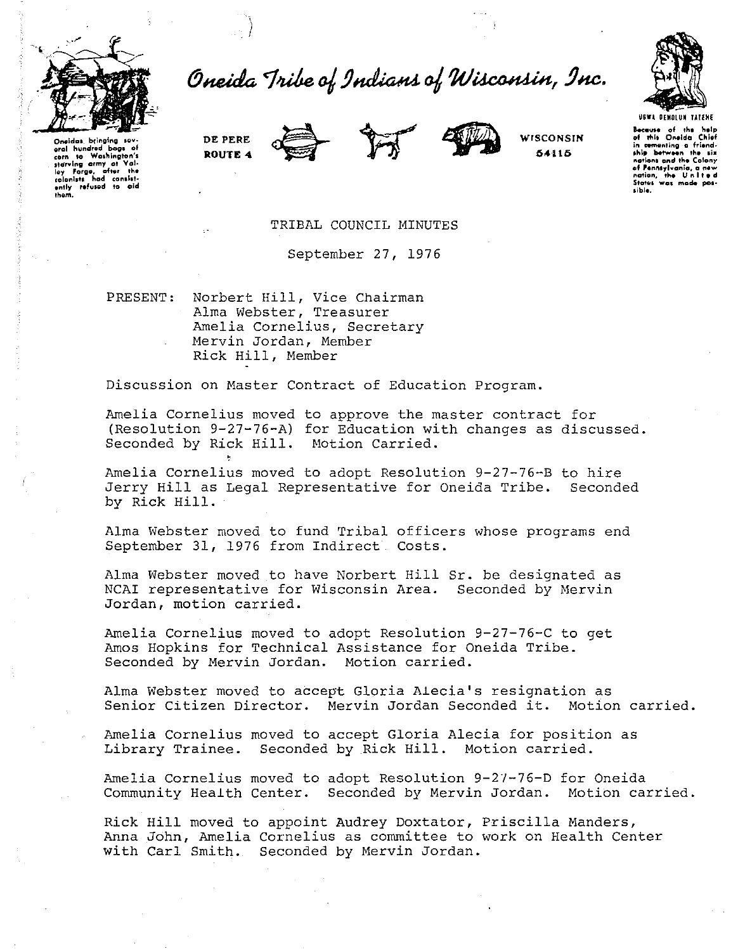

Oneida Tribe of Indians of Wisconsin, Inc.



Oneidas bringing eral hundred boas of corn to Washington's starving army at Val-<br>lov Forge, after the starving army at value<br>ley Forge, after the<br>colonists had consist-<br>antly refused to aid





WISCONSIN 54115

Because of the help<br>of this Oneida Chief in comenting a friendnations and the Colony of Pennsylvania, a<br>nation, the U.n.l **Status** was made

TRIBAL COUNCIL MINUTES

September 27, 1976

Norbert Hill, Vice Chairman<br>Alma Webster, Treasurer PRESENT: Amelia Cornelius, Secretary Mervin Jordan, Member Rick Hill, Member

Discussion on Master Contract of Education Program.

Amelia Cornelius moved to approve the master contract for (Resolution 9-27-76-A) for Education with changes as discussed. Seconded by Rick Hill. Motion Carried.

Amelia Cornelius moved to adopt Resolution 9-27-76-B to hire Jerry Hill as Leqal Representative for Oneida Tribe. Seconded by Rick Hill.

Alma Webster moved to fund Tribal officers whose programs end September 31, 1976 from Indirect Costs.

Alma Webster moved to have Norbert Hill Sr. be designated as NCAI representative for Wisconsin Area. Seconded by Mervin Jordan, motion carried.

Amelia Cornelius moved to adopt Resolution 9-27-76-C to get Amos Hopkins for Technical Assistance for Oneida Tribe. Seconded by Mervin Jordan. Motion carried.

Alma Webster moved to accept Gloria Alecia's resignation as Senior Citizen Director. Mervin Jordan Seconded it. Motion carried.

Amelia Cornelius moved to accept Gloria Alecia for position as Library Trainee. Seconded by Rick Hill. Motion carried.

Amelia Cornelius moved to adopt Resolution 9-27-76-D for Oneida Community Health Center. Seconded by Mervin Jordan. Motion carried.

Rick Hill moved to appoint Audrey Doxtator, Priscilla Manders, Anna John, Amelia Cornelius as committee to work on Health Center with Carl Smith. Seconded by Mervin Jordan.